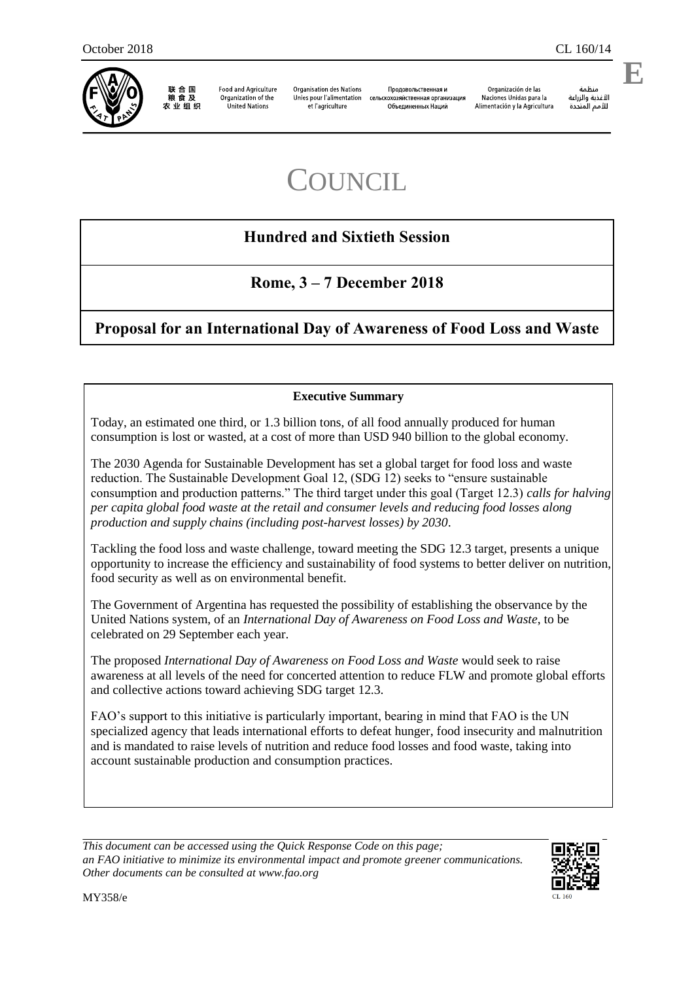

联合国 粮食及 农业组织

**Food and Agriculture** Organization of the **United Nations** 

**Organisation des Nations** Unies pour l'alimentation et l'agriculture

Продовольственная и сельскохозяйственная организация Объединенных Наций

Organización de las Naciones Unidas para la Alimentación y la Agricultura

منظمة الأغذية والزراعة للأمم المتحدة

.

**E**

# **COUNCIL**

# **Hundred and Sixtieth Session**

# **Rome, 3 – 7 December 2018**

## **Proposal for an International Day of Awareness of Food Loss and Waste**

#### **Executive Summary**

Today, an estimated one third, or 1.3 billion tons, of all food annually produced for human consumption is lost or wasted, at a cost of more than USD 940 billion to the global economy.

The 2030 Agenda for Sustainable Development has set a global target for food loss and waste reduction. The Sustainable Development Goal 12, (SDG 12) seeks to "ensure sustainable consumption and production patterns." The third target under this goal (Target 12.3) *calls for halving per capita global food waste at the retail and consumer levels and reducing food losses along production and supply chains (including post-harvest losses) by 2030*.

Tackling the food loss and waste challenge, toward meeting the SDG 12.3 target, presents a unique opportunity to increase the efficiency and sustainability of food systems to better deliver on nutrition, food security as well as on environmental benefit.

The Government of Argentina has requested the possibility of establishing the observance by the United Nations system, of an *International Day of Awareness on Food Loss and Waste*, to be celebrated on 29 September each year.

The proposed *International Day of Awareness on Food Loss and Waste* would seek to raise awareness at all levels of the need for concerted attention to reduce FLW and promote global efforts and collective actions toward achieving SDG target 12.3.

FAO's support to this initiative is particularly important, bearing in mind that FAO is the UN specialized agency that leads international efforts to defeat hunger, food insecurity and malnutrition and is mandated to raise levels of nutrition and reduce food losses and food waste, taking into account sustainable production and consumption practices.

*This document can be accessed using the Quick Response Code on this page; an FAO initiative to minimize its environmental impact and promote greener communications. Other documents can be consulted at www.fao.org* 

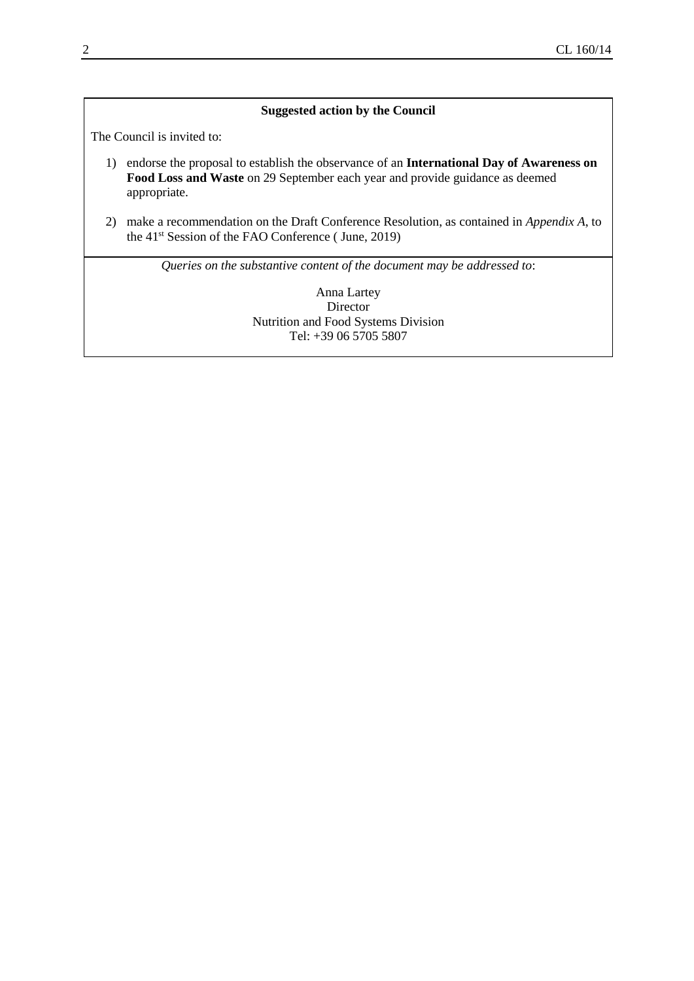#### **Suggested action by the Council**

The Council is invited to:

- 1) endorse the proposal to establish the observance of an **International Day of Awareness on Food Loss and Waste** on 29 September each year and provide guidance as deemed appropriate.
- 2) make a recommendation on the Draft Conference Resolution, as contained in *Appendix A*, to the 41st Session of the FAO Conference ( June, 2019)

*Queries on the substantive content of the document may be addressed to*:

Anna Lartey Director Nutrition and Food Systems Division Tel: +39 06 5705 5807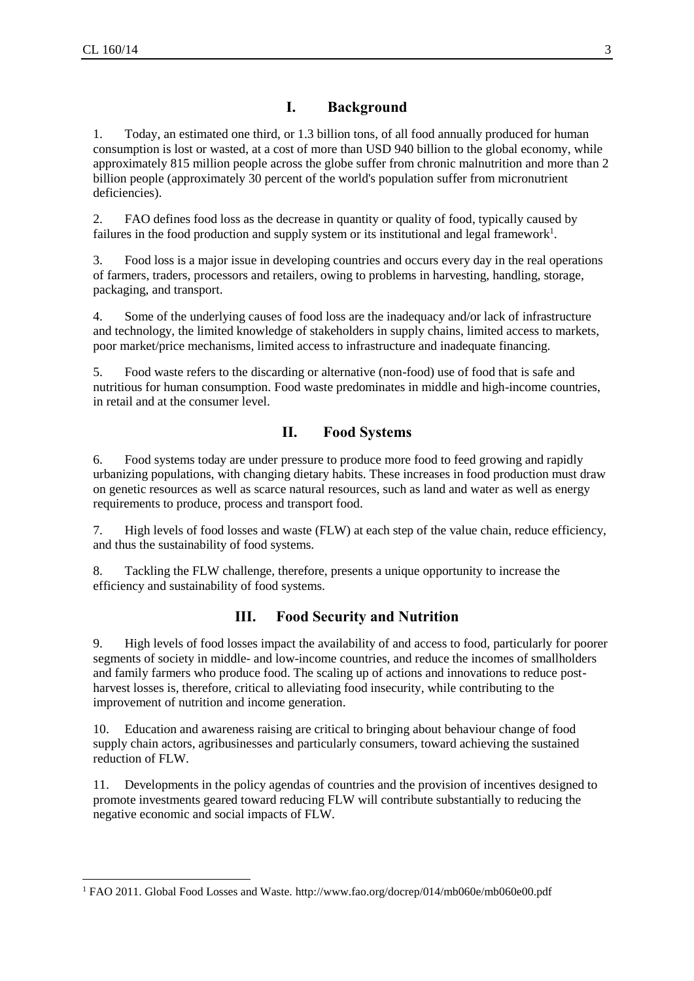l

#### **I. Background**

1. Today, an estimated one third, or 1.3 billion tons, of all food annually produced for human consumption is lost or wasted, at a cost of more than USD 940 billion to the global economy, while approximately 815 million people across the globe suffer from chronic malnutrition and more than 2 billion people (approximately 30 percent of the world's population suffer from micronutrient deficiencies).

2. FAO defines food loss as the decrease in quantity or quality of food, typically caused by failures in the food production and supply system or its institutional and legal framework<sup>1</sup>.

3. Food loss is a major issue in developing countries and occurs every day in the real operations of farmers, traders, processors and retailers, owing to problems in harvesting, handling, storage, packaging, and transport.

4. Some of the underlying causes of food loss are the inadequacy and/or lack of infrastructure and technology, the limited knowledge of stakeholders in supply chains, limited access to markets, poor market/price mechanisms, limited access to infrastructure and inadequate financing.

5. Food waste refers to the discarding or alternative (non-food) use of food that is safe and nutritious for human consumption. Food waste predominates in middle and high-income countries, in retail and at the consumer level.

#### **II. Food Systems**

6. Food systems today are under pressure to produce more food to feed growing and rapidly urbanizing populations, with changing dietary habits. These increases in food production must draw on genetic resources as well as scarce natural resources, such as land and water as well as energy requirements to produce, process and transport food.

7. High levels of food losses and waste (FLW) at each step of the value chain, reduce efficiency, and thus the sustainability of food systems.

8. Tackling the FLW challenge, therefore, presents a unique opportunity to increase the efficiency and sustainability of food systems.

#### **III. Food Security and Nutrition**

9. High levels of food losses impact the availability of and access to food, particularly for poorer segments of society in middle- and low-income countries, and reduce the incomes of smallholders and family farmers who produce food. The scaling up of actions and innovations to reduce postharvest losses is, therefore, critical to alleviating food insecurity, while contributing to the improvement of nutrition and income generation.

10. Education and awareness raising are critical to bringing about behaviour change of food supply chain actors, agribusinesses and particularly consumers, toward achieving the sustained reduction of FLW.

11. Developments in the policy agendas of countries and the provision of incentives designed to promote investments geared toward reducing FLW will contribute substantially to reducing the negative economic and social impacts of FLW.

<sup>1</sup> FAO 2011. Global Food Losses and Waste.<http://www.fao.org/docrep/014/mb060e/mb060e00.pdf>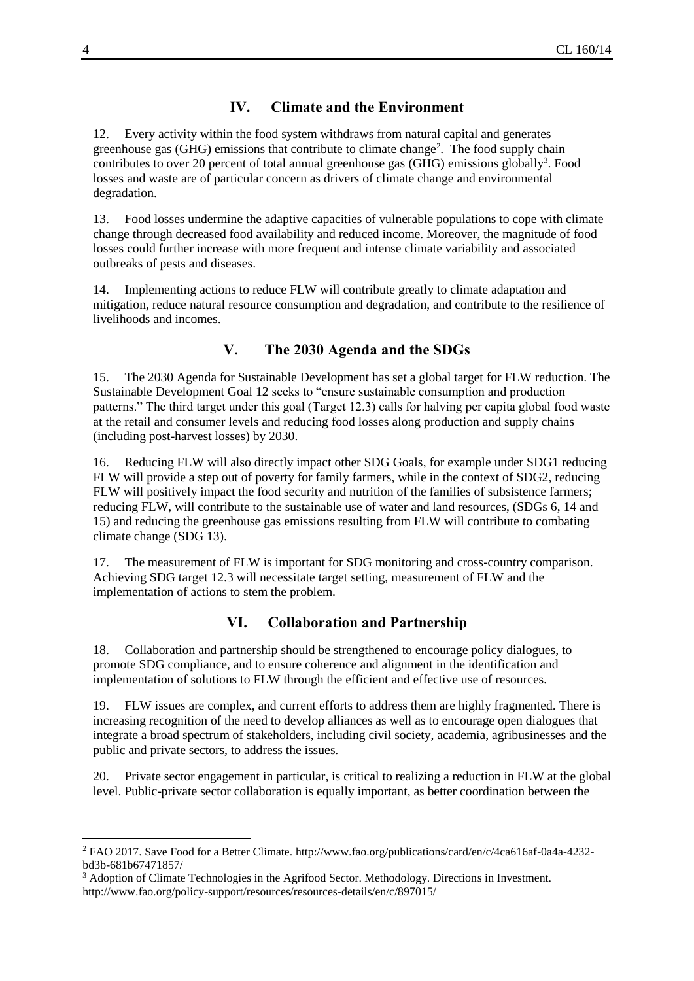### **IV. Climate and the Environment**

12. Every activity within the food system withdraws from natural capital and generates greenhouse gas (GHG) emissions that contribute to climate change<sup>2</sup>. The food supply chain contributes to over 20 percent of total annual greenhouse gas (GHG) emissions globally<sup>3</sup>. Food losses and waste are of particular concern as drivers of climate change and environmental degradation.

13. Food losses undermine the adaptive capacities of vulnerable populations to cope with climate change through decreased food availability and reduced income. Moreover, the magnitude of food losses could further increase with more frequent and intense climate variability and associated outbreaks of pests and diseases.

14. Implementing actions to reduce FLW will contribute greatly to climate adaptation and mitigation, reduce natural resource consumption and degradation, and contribute to the resilience of livelihoods and incomes.

## **V. The 2030 Agenda and the SDGs**

15. The 2030 Agenda for Sustainable Development has set a global target for FLW reduction. The Sustainable Development Goal 12 seeks to "ensure sustainable consumption and production patterns." The third target under this goal (Target 12.3) calls for halving per capita global food waste at the retail and consumer levels and reducing food losses along production and supply chains (including post-harvest losses) by 2030.

16. Reducing FLW will also directly impact other SDG Goals, for example under SDG1 reducing FLW will provide a step out of poverty for family farmers, while in the context of SDG2, reducing FLW will positively impact the food security and nutrition of the families of subsistence farmers; reducing FLW, will contribute to the sustainable use of water and land resources, (SDGs 6, 14 and 15) and reducing the greenhouse gas emissions resulting from FLW will contribute to combating climate change (SDG 13).

17. The measurement of FLW is important for SDG monitoring and cross-country comparison. Achieving SDG target 12.3 will necessitate target setting, measurement of FLW and the implementation of actions to stem the problem.

## **VI. Collaboration and Partnership**

18. Collaboration and partnership should be strengthened to encourage policy dialogues, to promote SDG compliance, and to ensure coherence and alignment in the identification and implementation of solutions to FLW through the efficient and effective use of resources.

19. FLW issues are complex, and current efforts to address them are highly fragmented. There is increasing recognition of the need to develop alliances as well as to encourage open dialogues that integrate a broad spectrum of stakeholders, including civil society, academia, agribusinesses and the public and private sectors, to address the issues.

20. Private sector engagement in particular, is critical to realizing a reduction in FLW at the global level. Public-private sector collaboration is equally important, as better coordination between the

 $\overline{a}$ 

<sup>2</sup> FAO 2017. Save Food for a Better Climate. [http://www.fao.org/publications/card/en/c/4ca616af-0a4a-4232](http://www.fao.org/publications/card/en/c/4ca616af-0a4a-4232-bd3b-681b67471857/) [bd3b-681b67471857/](http://www.fao.org/publications/card/en/c/4ca616af-0a4a-4232-bd3b-681b67471857/)

<sup>&</sup>lt;sup>3</sup> Adoption of Climate Technologies in the Agrifood Sector. Methodology. Directions in Investment. <http://www.fao.org/policy-support/resources/resources-details/en/c/897015/>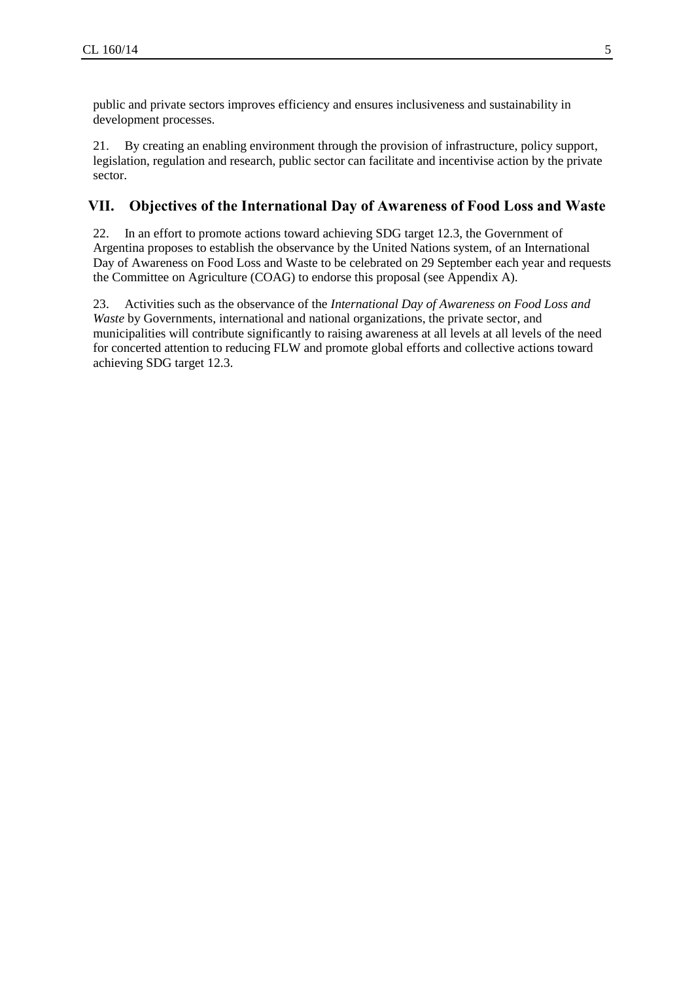public and private sectors improves efficiency and ensures inclusiveness and sustainability in development processes.

21. By creating an enabling environment through the provision of infrastructure, policy support, legislation, regulation and research, public sector can facilitate and incentivise action by the private sector.

#### **VII. Objectives of the International Day of Awareness of Food Loss and Waste**

22. In an effort to promote actions toward achieving SDG target 12.3, the Government of Argentina proposes to establish the observance by the United Nations system, of an International Day of Awareness on Food Loss and Waste to be celebrated on 29 September each year and requests the Committee on Agriculture (COAG) to endorse this proposal (see Appendix A).

23. Activities such as the observance of the *International Day of Awareness on Food Loss and Waste* by Governments, international and national organizations, the private sector, and municipalities will contribute significantly to raising awareness at all levels at all levels of the need for concerted attention to reducing FLW and promote global efforts and collective actions toward achieving SDG target 12.3.